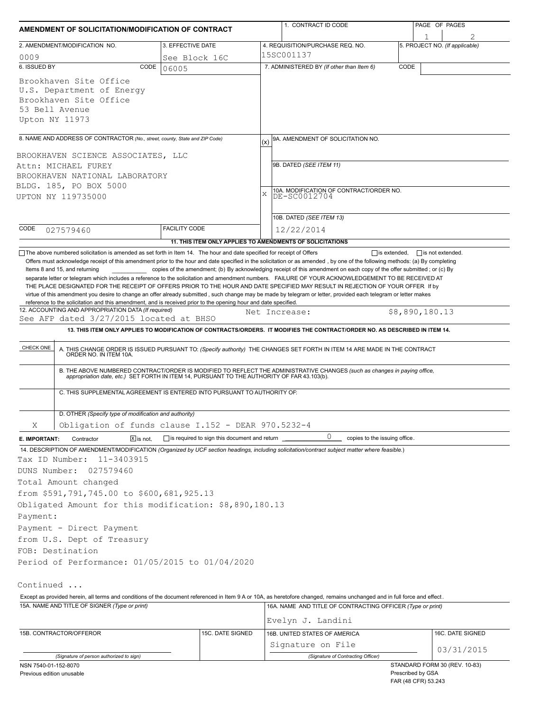| AMENDMENT OF SOLICITATION/MODIFICATION OF CONTRACT                                                                                                                                                                                                                                                                                                                                                                                                                                                                                                                                                                                                                               |                                              | 1. CONTRACT ID CODE                                                                                                                                                                                                                                                                                                                                                                                                                                                                                                       | PAGE OF PAGES                                                                    |  |  |  |  |
|----------------------------------------------------------------------------------------------------------------------------------------------------------------------------------------------------------------------------------------------------------------------------------------------------------------------------------------------------------------------------------------------------------------------------------------------------------------------------------------------------------------------------------------------------------------------------------------------------------------------------------------------------------------------------------|----------------------------------------------|---------------------------------------------------------------------------------------------------------------------------------------------------------------------------------------------------------------------------------------------------------------------------------------------------------------------------------------------------------------------------------------------------------------------------------------------------------------------------------------------------------------------------|----------------------------------------------------------------------------------|--|--|--|--|
| 2. AMENDMENT/MODIFICATION NO.                                                                                                                                                                                                                                                                                                                                                                                                                                                                                                                                                                                                                                                    | 3. EFFECTIVE DATE                            | 4. REQUISITION/PURCHASE REQ. NO.                                                                                                                                                                                                                                                                                                                                                                                                                                                                                          | 5. PROJECT NO. (If applicable)                                                   |  |  |  |  |
| 0009                                                                                                                                                                                                                                                                                                                                                                                                                                                                                                                                                                                                                                                                             | See Block 16C                                | 15SC001137                                                                                                                                                                                                                                                                                                                                                                                                                                                                                                                |                                                                                  |  |  |  |  |
| 6. ISSUED BY<br>CODE                                                                                                                                                                                                                                                                                                                                                                                                                                                                                                                                                                                                                                                             | 06005                                        | 7. ADMINISTERED BY (If other than Item 6)                                                                                                                                                                                                                                                                                                                                                                                                                                                                                 | CODE                                                                             |  |  |  |  |
| Brookhaven Site Office<br>U.S. Department of Energy<br>Brookhaven Site Office<br>53 Bell Avenue<br>Upton NY 11973                                                                                                                                                                                                                                                                                                                                                                                                                                                                                                                                                                |                                              |                                                                                                                                                                                                                                                                                                                                                                                                                                                                                                                           |                                                                                  |  |  |  |  |
| 8. NAME AND ADDRESS OF CONTRACTOR (No., street, county, State and ZIP Code)                                                                                                                                                                                                                                                                                                                                                                                                                                                                                                                                                                                                      |                                              | 9A. AMENDMENT OF SOLICITATION NO.<br>(x)                                                                                                                                                                                                                                                                                                                                                                                                                                                                                  |                                                                                  |  |  |  |  |
| BROOKHAVEN SCIENCE ASSOCIATES, LLC<br>Attn: MICHAEL FUREY<br>BROOKHAVEN NATIONAL LABORATORY<br>BLDG. 185, PO BOX 5000<br>UPTON NY 119735000                                                                                                                                                                                                                                                                                                                                                                                                                                                                                                                                      |                                              | 9B. DATED (SEE ITEM 11)<br>10A. MODIFICATION OF CONTRACT/ORDER NO.<br>DE-SC0012704<br>$\bar{x}$<br>10B. DATED (SEE ITEM 13)                                                                                                                                                                                                                                                                                                                                                                                               |                                                                                  |  |  |  |  |
| CODE<br>027579460                                                                                                                                                                                                                                                                                                                                                                                                                                                                                                                                                                                                                                                                | <b>FACILITY CODE</b>                         | 12/22/2014                                                                                                                                                                                                                                                                                                                                                                                                                                                                                                                |                                                                                  |  |  |  |  |
|                                                                                                                                                                                                                                                                                                                                                                                                                                                                                                                                                                                                                                                                                  |                                              | 11. THIS ITEM ONLY APPLIES TO AMENDMENTS OF SOLICITATIONS                                                                                                                                                                                                                                                                                                                                                                                                                                                                 |                                                                                  |  |  |  |  |
| 12. ACCOUNTING AND APPROPRIATION DATA (If required)<br>See AFP dated 3/27/2015 located at BHSO<br>CHECK ONE                                                                                                                                                                                                                                                                                                                                                                                                                                                                                                                                                                      |                                              | Net Increase:<br>13. THIS ITEM ONLY APPLIES TO MODIFICATION OF CONTRACTS/ORDERS. IT MODIFIES THE CONTRACT/ORDER NO. AS DESCRIBED IN ITEM 14.<br>A. THIS CHANGE ORDER IS ISSUED PURSUANT TO: (Specify authority) THE CHANGES SET FORTH IN ITEM 14 ARE MADE IN THE CONTRACT ORDER NO. IN ITEM 10A.<br>B. THE ABOVE NUMBERED CONTRACT/ORDER IS MODIFIED TO REFLECT THE ADMINISTRATIVE CHANGES (such as changes in paying office, appropriation date, etc.) SET FORTH IN ITEM 14, PURSUANT TO THE AUTHORITY OF FAR 43.103(b). | \$8,890,180.13                                                                   |  |  |  |  |
| C. THIS SUPPLEMENTAL AGREEMENT IS ENTERED INTO PURSUANT TO AUTHORITY OF:                                                                                                                                                                                                                                                                                                                                                                                                                                                                                                                                                                                                         |                                              |                                                                                                                                                                                                                                                                                                                                                                                                                                                                                                                           |                                                                                  |  |  |  |  |
| D. OTHER (Specify type of modification and authority)                                                                                                                                                                                                                                                                                                                                                                                                                                                                                                                                                                                                                            |                                              |                                                                                                                                                                                                                                                                                                                                                                                                                                                                                                                           |                                                                                  |  |  |  |  |
| Obligation of funds clause I.152 - DEAR 970.5232-4<br>Χ                                                                                                                                                                                                                                                                                                                                                                                                                                                                                                                                                                                                                          |                                              |                                                                                                                                                                                                                                                                                                                                                                                                                                                                                                                           |                                                                                  |  |  |  |  |
| Contractor<br>$X$ is not.<br>E. IMPORTANT:                                                                                                                                                                                                                                                                                                                                                                                                                                                                                                                                                                                                                                       | is required to sign this document and return | 0<br>copies to the issuing office.                                                                                                                                                                                                                                                                                                                                                                                                                                                                                        |                                                                                  |  |  |  |  |
| 14. DESCRIPTION OF AMENDMENT/MODIFICATION (Organized by UCF section headings, including solicitation/contract subject matter where feasible.)<br>Tax ID Number:<br>11-3403915<br>DUNS Number:<br>027579460<br>Total Amount changed<br>from \$591,791,745.00 to \$600,681,925.13<br>Obligated Amount for this modification: \$8,890,180.13<br>Payment:<br>Payment - Direct Payment<br>from U.S. Dept of Treasury<br>FOB: Destination<br>Period of Performance: 01/05/2015 to 01/04/2020<br>Continued<br>Except as provided herein, all terms and conditions of the document referenced in Item 9 A or 10A, as heretofore changed, remains unchanged and in full force and effect. |                                              |                                                                                                                                                                                                                                                                                                                                                                                                                                                                                                                           |                                                                                  |  |  |  |  |
| 15A. NAME AND TITLE OF SIGNER (Type or print)                                                                                                                                                                                                                                                                                                                                                                                                                                                                                                                                                                                                                                    |                                              | 16A. NAME AND TITLE OF CONTRACTING OFFICER (Type or print)                                                                                                                                                                                                                                                                                                                                                                                                                                                                |                                                                                  |  |  |  |  |
|                                                                                                                                                                                                                                                                                                                                                                                                                                                                                                                                                                                                                                                                                  |                                              | Evelyn J. Landini                                                                                                                                                                                                                                                                                                                                                                                                                                                                                                         |                                                                                  |  |  |  |  |
| 15B. CONTRACTOR/OFFEROR                                                                                                                                                                                                                                                                                                                                                                                                                                                                                                                                                                                                                                                          | 15C. DATE SIGNED                             | 16B. UNITED STATES OF AMERICA                                                                                                                                                                                                                                                                                                                                                                                                                                                                                             | 16C. DATE SIGNED                                                                 |  |  |  |  |
|                                                                                                                                                                                                                                                                                                                                                                                                                                                                                                                                                                                                                                                                                  |                                              | Signature on File                                                                                                                                                                                                                                                                                                                                                                                                                                                                                                         | 03/31/2015                                                                       |  |  |  |  |
| (Signature of person authorized to sign)                                                                                                                                                                                                                                                                                                                                                                                                                                                                                                                                                                                                                                         |                                              | (Signature of Contracting Officer)                                                                                                                                                                                                                                                                                                                                                                                                                                                                                        |                                                                                  |  |  |  |  |
| NSN 7540-01-152-8070<br>Previous edition unusable                                                                                                                                                                                                                                                                                                                                                                                                                                                                                                                                                                                                                                |                                              |                                                                                                                                                                                                                                                                                                                                                                                                                                                                                                                           | STANDARD FORM 30 (REV. 10-83)<br>Prescribed by GSA<br><b>EAR (48 CER) 53 243</b> |  |  |  |  |